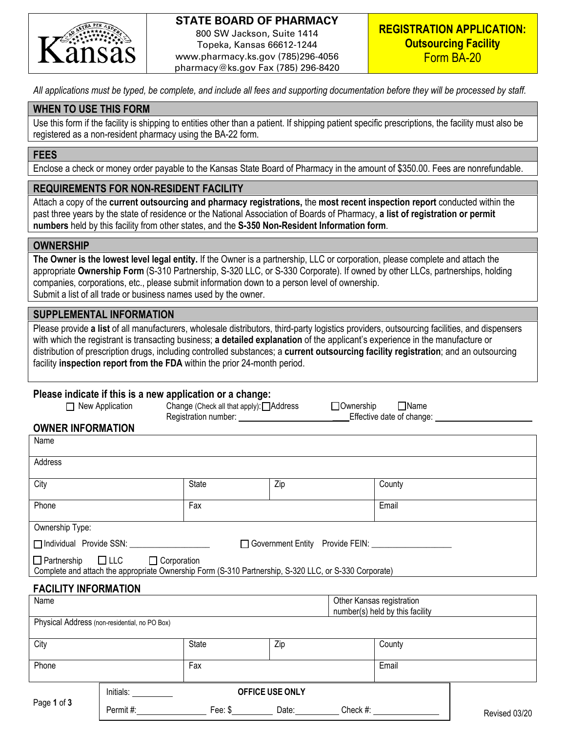

## **STATE BOARD OF PHARMACY**

800 SW Jackson, Suite 1414 Topeka, Kansas 66612-1244 www.pharmacy.ks.gov (785)296-4056 pharmacy@ks.gov Fax (785) 296-8420

*All applications must be typed, be complete, and include all fees and supporting documentation before they will be processed by staff.* 

### **WHEN TO USE THIS FORM**

Use this form if the facility is shipping to entities other than a patient. If shipping patient specific prescriptions, the facility must also be registered as a non-resident pharmacy using the BA-22 form.

#### **FEES**

Enclose a check or money order payable to the Kansas State Board of Pharmacy in the amount of \$350.00. Fees are nonrefundable.

#### **REQUIREMENTS FOR NON-RESIDENT FACILITY**

Attach a copy of the **current outsourcing and pharmacy registrations,** the **most recent inspection report** conducted within the past three years by the state of residence or the National Association of Boards of Pharmacy, **a list of registration or permit numbers** held by this facility from other states, and the **S-350 Non-Resident Information form**.

#### **OWNERSHIP**

**The Owner is the lowest level legal entity.** If the Owner is a partnership, LLC or corporation, please complete and attach the appropriate **Ownership Form** (S-310 Partnership, S-320 LLC, or S-330 Corporate). If owned by other LLCs, partnerships, holding companies, corporations, etc., please submit information down to a person level of ownership. Submit a list of all trade or business names used by the owner.

### **SUPPLEMENTAL INFORMATION**

Please provide **a list** of all manufacturers, wholesale distributors, third-party logistics providers, outsourcing facilities, and dispensers with which the registrant is transacting business; **a detailed explanation** of the applicant's experience in the manufacture or distribution of prescription drugs, including controlled substances; a **current outsourcing facility registration**; and an outsourcing facility **inspection report from the FDA** within the prior 24-month period.

#### **Please indicate if this is a new application or a change:**

| New Application                                                                                                                        | Change (Check all that apply): △ Address |     | $\Box$ Name<br>$\Box$ Ownership<br>Effective date of change: ____________ |  |
|----------------------------------------------------------------------------------------------------------------------------------------|------------------------------------------|-----|---------------------------------------------------------------------------|--|
| <b>OWNER INFORMATION</b>                                                                                                               |                                          |     |                                                                           |  |
| Name                                                                                                                                   |                                          |     |                                                                           |  |
| Address                                                                                                                                |                                          |     |                                                                           |  |
| City                                                                                                                                   | <b>State</b>                             | Zip | County                                                                    |  |
| Phone                                                                                                                                  | Fax                                      |     | Email                                                                     |  |
| Ownership Type:                                                                                                                        |                                          |     |                                                                           |  |
| □ Individual Provide SSN:                                                                                                              |                                          |     | □ Government Entity Provide FEIN:                                         |  |
| $\Box$ Partnership $\Box$ LLC<br>Complete and attach the appropriate Ownership Form (S-310 Partnership, S-320 LLC, or S-330 Corporate) | $\Box$ Corporation                       |     |                                                                           |  |
| <b>FACILITY INFORMATION</b>                                                                                                            |                                          |     | $\sim$ $\sim$ $\sim$ $\sim$                                               |  |

| Name        |                                               |              |                        |          | Other Kansas registration<br>number(s) held by this facility |               |
|-------------|-----------------------------------------------|--------------|------------------------|----------|--------------------------------------------------------------|---------------|
|             | Physical Address (non-residential, no PO Box) |              |                        |          |                                                              |               |
| City        |                                               | <b>State</b> | Zip                    |          | County                                                       |               |
| Phone       |                                               | Fax          |                        |          | Email                                                        |               |
|             | Initials:                                     |              | <b>OFFICE USE ONLY</b> |          |                                                              |               |
| Page 1 of 3 | Permit#:                                      | Fee: $$$     | Date:                  | Check #: |                                                              | Revised 03/20 |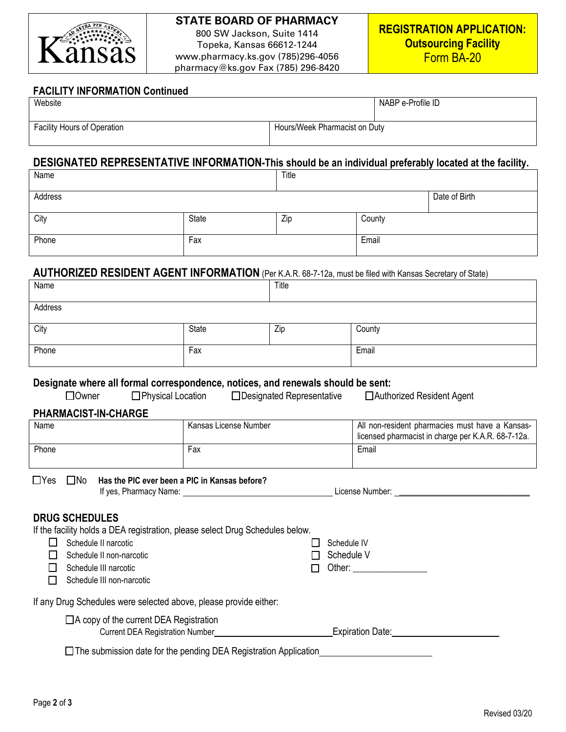

## **STATE BOARD OF PHARMACY**

800 SW Jackson, Suite 1414 Topeka, Kansas 66612-1244 www.pharmacy.ks.gov (785)296-4056 pharmacy@ks.gov Fax (785) 296-8420

#### **FACILITY INFORMATION Continued**

| Website                            |                               | NABP e-Profile ID |
|------------------------------------|-------------------------------|-------------------|
| <b>Facility Hours of Operation</b> | Hours/Week Pharmacist on Duty |                   |

# **DESIGNATED REPRESENTATIVE INFORMATION-This should be an individual preferably located at the facility.**

| Name    |       | Title |        |               |
|---------|-------|-------|--------|---------------|
| Address |       |       |        | Date of Birth |
| City    | State | Zip   | County |               |
| Phone   | Fax   |       | Email  |               |

# **AUTHORIZED RESIDENT AGENT INFORMATION** (Per K.A.R. 68-7-12a, must be filed with Kansas Secretary of State)

| Name    |       | Title |        |  |
|---------|-------|-------|--------|--|
| Address |       |       |        |  |
| City    | State | Zip   | County |  |
| Phone   | Fax   |       | Email  |  |

# **Designate where all formal correspondence, notices, and renewals should be sent:**

| ⊿Owner | $\Box$ Physical Location | □ Designated Representative | □ Authorized Resident Agent |
|--------|--------------------------|-----------------------------|-----------------------------|
|        |                          |                             |                             |

### **PHARMACIST-IN-CHARGE**

| Name  | Kansas License Number | All non-resident pharmacies must have a Kansas-<br>licensed pharmacist in charge per K.A.R. 68-7-12a. |
|-------|-----------------------|-------------------------------------------------------------------------------------------------------|
| Phone | Fax                   | Email                                                                                                 |

## □Yes □No Has the PIC ever been a PIC in Kansas before?

| If ves         | ∟icense '                                                                                                       |
|----------------|-----------------------------------------------------------------------------------------------------------------|
| Pharmacy Name: | the contract of the contract of the contract of the contract of the contract of the contract of the contract of |
|                | . Number:                                                                                                       |
|                |                                                                                                                 |
|                |                                                                                                                 |

# **DRUG SCHEDULES**

If the facility holds a DEA registration, please select Drug Schedules below.

| Schedule II narcotic        | <b>I</b> Schedule IV |
|-----------------------------|----------------------|
| ∟l Schedule II non-narcotic | $\Box$ Schedule V    |
| □ Schedule III narcotic     | $\Box$ Other:        |

Schedule III non-narcotic

If any Drug Schedules were selected above, please provide either:

□A copy of the current DEA Registration

Current DEA Registration Number Expiration Date:

□The submission date for the pending DEA Registration Application